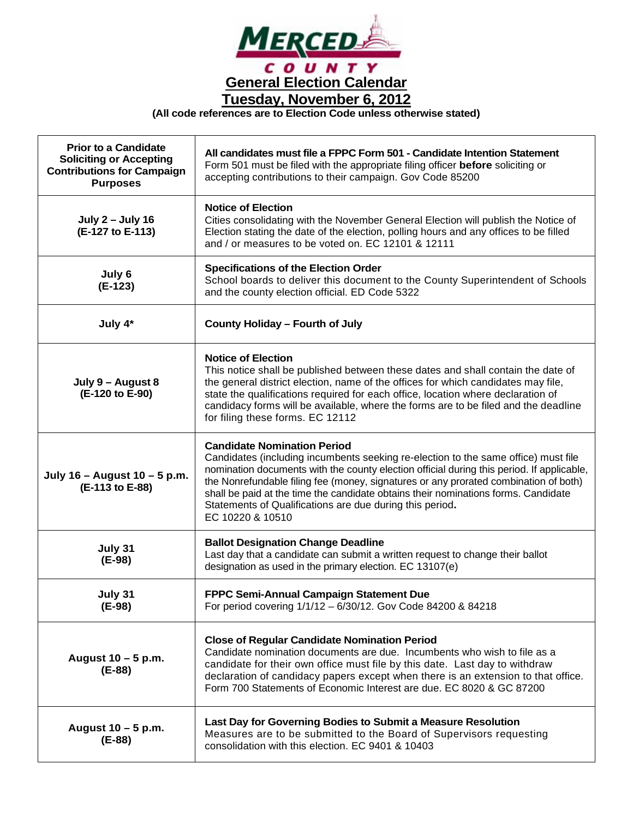

**(All code references are to Election Code unless otherwise stated)**

| <b>Prior to a Candidate</b><br><b>Soliciting or Accepting</b><br><b>Contributions for Campaign</b><br><b>Purposes</b> | All candidates must file a FPPC Form 501 - Candidate Intention Statement<br>Form 501 must be filed with the appropriate filing officer <b>before</b> soliciting or<br>accepting contributions to their campaign. Gov Code 85200                                                                                                                                                                                                                                                     |
|-----------------------------------------------------------------------------------------------------------------------|-------------------------------------------------------------------------------------------------------------------------------------------------------------------------------------------------------------------------------------------------------------------------------------------------------------------------------------------------------------------------------------------------------------------------------------------------------------------------------------|
| <b>July 2 - July 16</b><br>(E-127 to E-113)                                                                           | <b>Notice of Election</b><br>Cities consolidating with the November General Election will publish the Notice of<br>Election stating the date of the election, polling hours and any offices to be filled<br>and / or measures to be voted on. EC 12101 & 12111                                                                                                                                                                                                                      |
| July 6<br>$(E-123)$                                                                                                   | <b>Specifications of the Election Order</b><br>School boards to deliver this document to the County Superintendent of Schools<br>and the county election official. ED Code 5322                                                                                                                                                                                                                                                                                                     |
| July 4*                                                                                                               | <b>County Holiday - Fourth of July</b>                                                                                                                                                                                                                                                                                                                                                                                                                                              |
| July 9 - August 8<br>(E-120 to E-90)                                                                                  | <b>Notice of Election</b><br>This notice shall be published between these dates and shall contain the date of<br>the general district election, name of the offices for which candidates may file,<br>state the qualifications required for each office, location where declaration of<br>candidacy forms will be available, where the forms are to be filed and the deadline<br>for filing these forms. EC 12112                                                                   |
| July 16 - August 10 - 5 p.m.<br>(E-113 to E-88)                                                                       | <b>Candidate Nomination Period</b><br>Candidates (including incumbents seeking re-election to the same office) must file<br>nomination documents with the county election official during this period. If applicable,<br>the Nonrefundable filing fee (money, signatures or any prorated combination of both)<br>shall be paid at the time the candidate obtains their nominations forms. Candidate<br>Statements of Qualifications are due during this period.<br>EC 10220 & 10510 |
| July 31<br>$(E-98)$                                                                                                   | <b>Ballot Designation Change Deadline</b><br>Last day that a candidate can submit a written request to change their ballot<br>designation as used in the primary election. EC 13107(e)                                                                                                                                                                                                                                                                                              |
| July 31<br>(E-98)                                                                                                     | FPPC Semi-Annual Campaign Statement Due<br>For period covering 1/1/12 – 6/30/12. Gov Code 84200 & 84218                                                                                                                                                                                                                                                                                                                                                                             |
| August 10 - 5 p.m.<br>(E-88)                                                                                          | <b>Close of Regular Candidate Nomination Period</b><br>Candidate nomination documents are due. Incumbents who wish to file as a<br>candidate for their own office must file by this date. Last day to withdraw<br>declaration of candidacy papers except when there is an extension to that office.<br>Form 700 Statements of Economic Interest are due. EC 8020 & GC 87200                                                                                                         |
| August 10 - 5 p.m.<br>(E-88)                                                                                          | Last Day for Governing Bodies to Submit a Measure Resolution<br>Measures are to be submitted to the Board of Supervisors requesting<br>consolidation with this election. EC 9401 & 10403                                                                                                                                                                                                                                                                                            |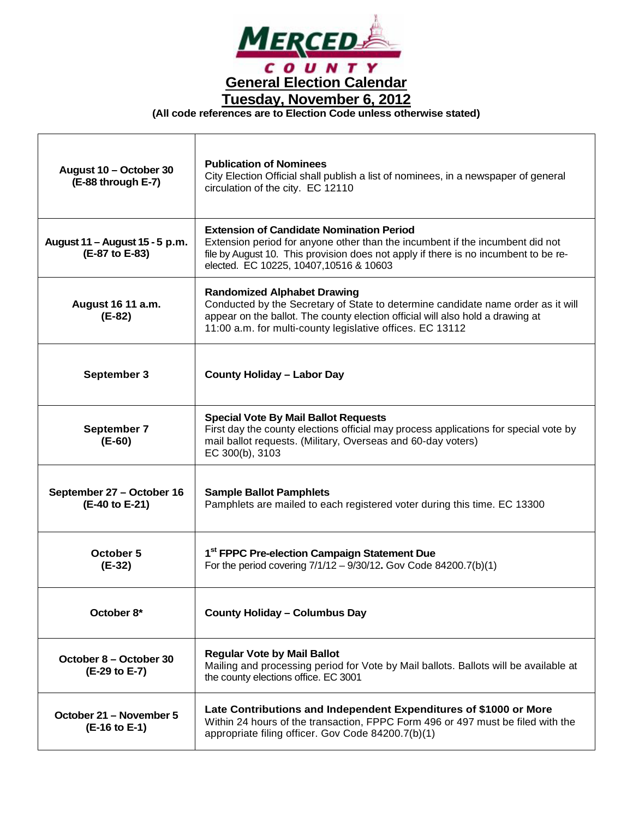

**(All code references are to Election Code unless otherwise stated)**

т

| August 10 - October 30<br>(E-88 through E-7)     | <b>Publication of Nominees</b><br>City Election Official shall publish a list of nominees, in a newspaper of general<br>circulation of the city. EC 12110                                                                                                             |
|--------------------------------------------------|-----------------------------------------------------------------------------------------------------------------------------------------------------------------------------------------------------------------------------------------------------------------------|
| August 11 – August 15 - 5 p.m.<br>(E-87 to E-83) | <b>Extension of Candidate Nomination Period</b><br>Extension period for anyone other than the incumbent if the incumbent did not<br>file by August 10. This provision does not apply if there is no incumbent to be re-<br>elected. EC 10225, 10407, 10516 & 10603    |
| August 16 11 a.m.<br>(E-82)                      | <b>Randomized Alphabet Drawing</b><br>Conducted by the Secretary of State to determine candidate name order as it will<br>appear on the ballot. The county election official will also hold a drawing at<br>11:00 a.m. for multi-county legislative offices. EC 13112 |
| September 3                                      | <b>County Holiday - Labor Day</b>                                                                                                                                                                                                                                     |
| September 7<br>(E-60)                            | <b>Special Vote By Mail Ballot Requests</b><br>First day the county elections official may process applications for special vote by<br>mail ballot requests. (Military, Overseas and 60-day voters)<br>EC 300(b), 3103                                                |
| September 27 - October 16<br>(E-40 to E-21)      | <b>Sample Ballot Pamphlets</b><br>Pamphlets are mailed to each registered voter during this time. EC 13300                                                                                                                                                            |
| October 5<br>(E-32)                              | 1 <sup>st</sup> FPPC Pre-election Campaign Statement Due<br>For the period covering $7/1/12 - 9/30/12$ . Gov Code 84200.7(b)(1)                                                                                                                                       |
| October 8*                                       | <b>County Holiday - Columbus Day</b>                                                                                                                                                                                                                                  |
| October 8 – October 30<br>(E-29 to E-7)          | <b>Regular Vote by Mail Ballot</b><br>Mailing and processing period for Vote by Mail ballots. Ballots will be available at<br>the county elections office. EC 3001                                                                                                    |
| October 21 - November 5<br>(E-16 to E-1)         | Late Contributions and Independent Expenditures of \$1000 or More<br>Within 24 hours of the transaction, FPPC Form 496 or 497 must be filed with the<br>appropriate filing officer. Gov Code 84200.7(b)(1)                                                            |